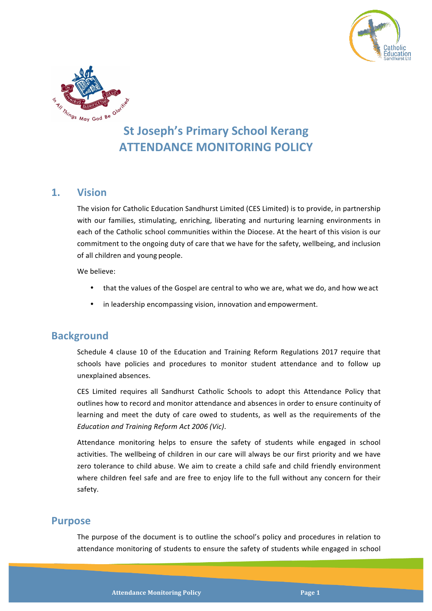



# **St Joseph's Primary School Kerang ATTENDANCE MONITORING POLICY**

### **1. Vision**

The vision for Catholic Education Sandhurst Limited (CES Limited) is to provide, in partnership with our families, stimulating, enriching, liberating and nurturing learning environments in each of the Catholic school communities within the Diocese. At the heart of this vision is our commitment to the ongoing duty of care that we have for the safety, wellbeing, and inclusion of all children and young people.

We believe:

- that the values of the Gospel are central to who we are, what we do, and how we act
- in leadership encompassing vision, innovation and empowerment.

# **Background**

Schedule 4 clause 10 of the Education and Training Reform Regulations 2017 require that schools have policies and procedures to monitor student attendance and to follow up unexplained absences.

CES Limited requires all Sandhurst Catholic Schools to adopt this Attendance Policy that outlines how to record and monitor attendance and absences in order to ensure continuity of learning and meet the duty of care owed to students, as well as the requirements of the *Education and Training Reform Act 2006 (Vic)*.

Attendance monitoring helps to ensure the safety of students while engaged in school activities. The wellbeing of children in our care will always be our first priority and we have zero tolerance to child abuse. We aim to create a child safe and child friendly environment where children feel safe and are free to enjoy life to the full without any concern for their safety.

#### **Purpose**

The purpose of the document is to outline the school's policy and procedures in relation to attendance monitoring of students to ensure the safety of students while engaged in school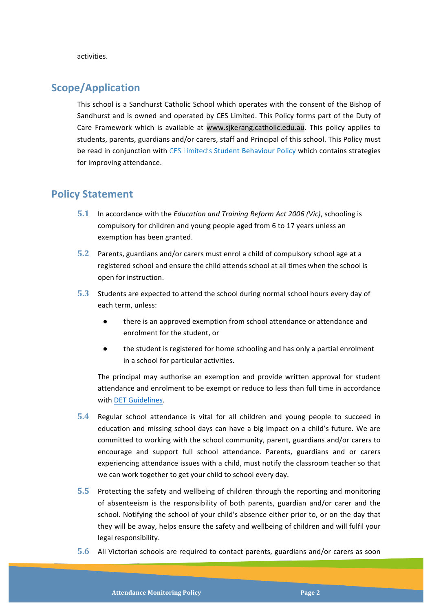activities.

## **Scope/Application**

This school is a Sandhurst Catholic School which operates with the consent of the Bishop of Sandhurst and is owned and operated by CES Limited. This Policy forms part of the Duty of Care Framework which is available at www.sjkerang.catholic.edu.au. This policy applies to students, parents, guardians and/or carers, staff and Principal of this school. This Policy must be read in conjunction with CES Limited's Student Behaviour Policy which contains strategies for improving attendance.

### **Policy Statement**

- **5.1** In accordance with the *Education and Training Reform Act 2006 (Vic)*, schooling is compulsory for children and young people aged from 6 to 17 years unless an exemption has been granted.
- **5.2** Parents, guardians and/or carers must enrol a child of compulsory school age at a registered school and ensure the child attends school at all times when the school is open for instruction.
- **5.3** Students are expected to attend the school during normal school hours every day of each term, unless:
	- there is an approved exemption from school attendance or attendance and enrolment for the student, or
	- the student is registered for home schooling and has only a partial enrolment in a school for particular activities.

The principal may authorise an exemption and provide written approval for student attendance and enrolment to be exempt or reduce to less than full time in accordance with DET Guidelines.

- **5.4** Regular school attendance is vital for all children and young people to succeed in education and missing school days can have a big impact on a child's future. We are committed to working with the school community, parent, guardians and/or carers to encourage and support full school attendance. Parents, guardians and or carers experiencing attendance issues with a child, must notify the classroom teacher so that we can work together to get your child to school every day.
- **5.5** Protecting the safety and wellbeing of children through the reporting and monitoring of absenteeism is the responsibility of both parents, guardian and/or carer and the school. Notifying the school of your child's absence either prior to, or on the day that they will be away, helps ensure the safety and wellbeing of children and will fulfil your legal responsibility.
- **5.6** All Victorian schools are required to contact parents, guardians and/or carers as soon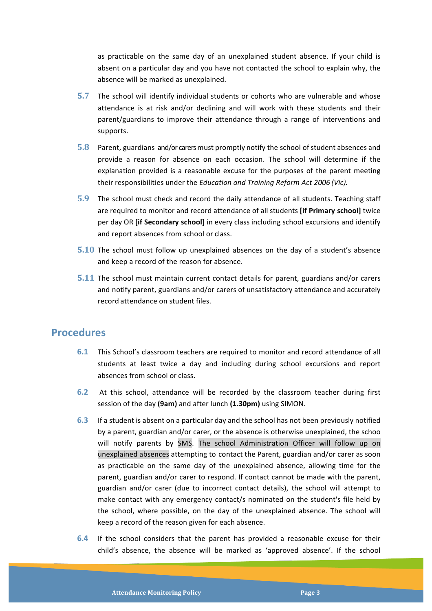as practicable on the same day of an unexplained student absence. If your child is absent on a particular day and you have not contacted the school to explain why, the absence will be marked as unexplained.

- **5.7** The school will identify individual students or cohorts who are vulnerable and whose attendance is at risk and/or declining and will work with these students and their parent/guardians to improve their attendance through a range of interventions and supports.
- **5.8** Parent, guardians and/or carers must promptly notify the school of student absences and provide a reason for absence on each occasion. The school will determine if the explanation provided is a reasonable excuse for the purposes of the parent meeting their responsibilities under the *Education and Training Reform Act 2006 (Vic).*
- **5.9** The school must check and record the daily attendance of all students. Teaching staff are required to monitor and record attendance of all students **[if Primary school]** twice per day OR *[if Secondary school]* in every class including school excursions and identify and report absences from school or class.
- **5.10** The school must follow up unexplained absences on the day of a student's absence and keep a record of the reason for absence.
- **5.11** The school must maintain current contact details for parent, guardians and/or carers and notify parent, guardians and/or carers of unsatisfactory attendance and accurately record attendance on student files.

### **Procedures**

- **6.1** This School's classroom teachers are required to monitor and record attendance of all students at least twice a day and including during school excursions and report absences from school or class.
- **6.2** At this school, attendance will be recorded by the classroom teacher during first session of the day (9am) and after lunch (1.30pm) using SIMON.
- **6.3** If a student is absent on a particular day and the school has not been previously notified by a parent, guardian and/or carer, or the absence is otherwise unexplained, the schoo will notify parents by SMS. The school Administration Officer will follow up on unexplained absences attempting to contact the Parent, guardian and/or carer as soon as practicable on the same day of the unexplained absence, allowing time for the parent, guardian and/or carer to respond. If contact cannot be made with the parent, guardian and/or carer (due to incorrect contact details), the school will attempt to make contact with any emergency contact/s nominated on the student's file held by the school, where possible, on the day of the unexplained absence. The school will keep a record of the reason given for each absence.
- **6.4** If the school considers that the parent has provided a reasonable excuse for their child's absence, the absence will be marked as 'approved absence'. If the school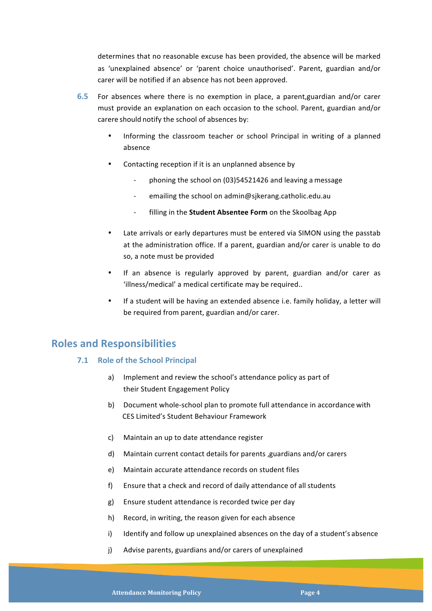determines that no reasonable excuse has been provided, the absence will be marked as 'unexplained absence' or 'parent choice unauthorised'. Parent, guardian and/or carer will be notified if an absence has not been approved.

- **6.5** For absences where there is no exemption in place, a parent, guardian and/or carer must provide an explanation on each occasion to the school. Parent, guardian and/or carere should notify the school of absences by:
	- Informing the classroom teacher or school Principal in writing of a planned absence
	- Contacting reception if it is an unplanned absence by
		- phoning the school on (03)54521426 and leaving a message
		- emailing the school on admin@sjkerang.catholic.edu.au
		- filling in the **Student Absentee Form** on the Skoolbag App
	- Late arrivals or early departures must be entered via SIMON using the passtab at the administration office. If a parent, guardian and/or carer is unable to do so, a note must be provided
	- If an absence is regularly approved by parent, guardian and/or carer as 'illness/medical' a medical certificate may be required..
	- If a student will be having an extended absence i.e. family holiday, a letter will be required from parent, guardian and/or carer.

# **Roles and Responsibilities**

#### **7.1 • Role of the School Principal**

- a) Implement and review the school's attendance policy as part of their Student Engagement Policy
- b) Document whole-school plan to promote full attendance in accordance with CES Limited's Student Behaviour Framework
- c) Maintain an up to date attendance register
- d) Maintain current contact details for parents , guardians and/or carers
- e) Maintain accurate attendance records on student files
- f) Ensure that a check and record of daily attendance of all students
- g) Ensure student attendance is recorded twice per day
- h) Record, in writing, the reason given for each absence
- i) Identify and follow up unexplained absences on the day of a student's absence
- j) Advise parents, guardians and/or carers of unexplained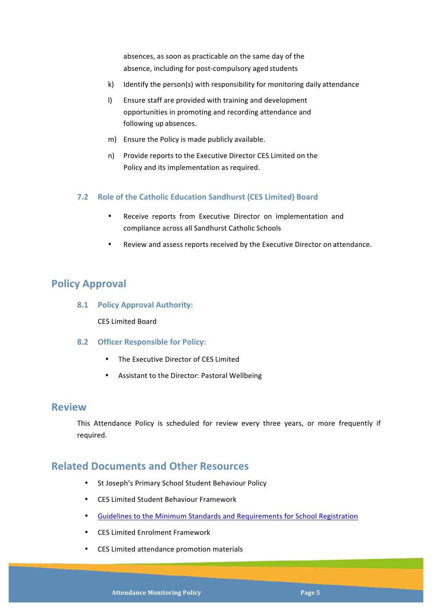absences, as soon as practicable on the same day of the absence, including for post-compulsory aged students

- k) Identify the person(s) with responsibility for monitoring daily attendance
- I) Ensure staff are provided with training and development opportunities in promoting and recording attendance and following up absences.
- m) Ensure the Policy is made publicly available.
- n) Provide reports to the Executive Director CES Limited on the Policy and its implementation as required.

#### **7.2 Role of the Catholic Education Sandhurst (CES Limited) Board**

- Receive reports from Executive Director on implementation and compliance across all Sandhurst Catholic Schools
- Review and assess reports received by the Executive Director on attendance.

# **Policy Approval**

**8.1 Policy Approval Authority:**

CES Limited Board

- **8.2 Officer Responsible for Policy:**
	- The Executive Director of CES Limited
	- Assistant to the Director: Pastoral Wellbeing

#### **Review**

This Attendance Policy is scheduled for review every three years, or more frequently if required.

### **Related Documents and Other Resources**

- St Joseph's Primary School Student Behaviour Policy
- CES Limited Student Behaviour Framework
- Guidelines to the Minimum Standards and Requirements for School Registration
- CES Limited Enrolment Framework
- CES Limited attendance promotion materials